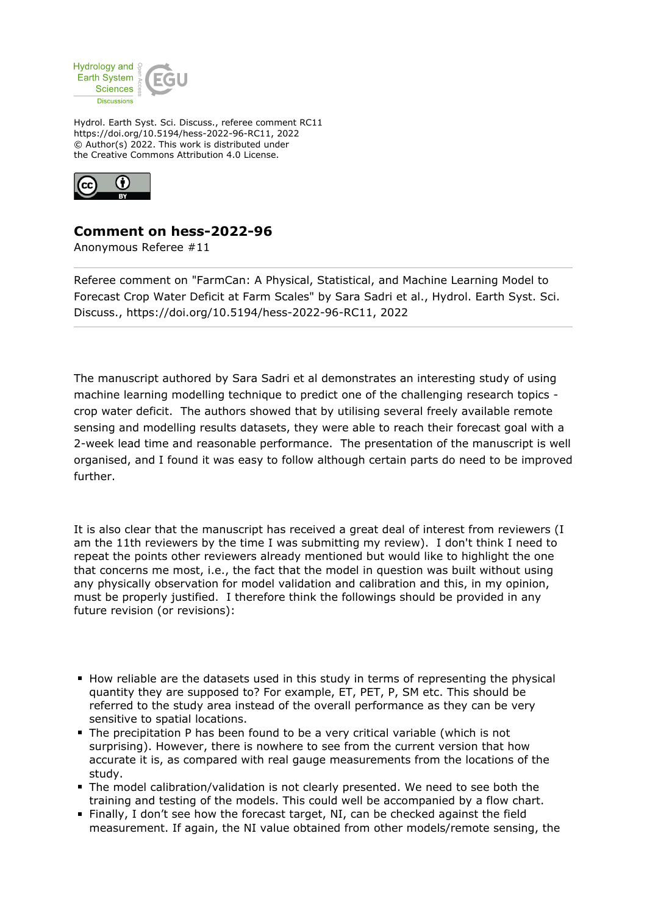

Hydrol. Earth Syst. Sci. Discuss., referee comment RC11 https://doi.org/10.5194/hess-2022-96-RC11, 2022 © Author(s) 2022. This work is distributed under the Creative Commons Attribution 4.0 License.



## **Comment on hess-2022-96**

Anonymous Referee #11

Referee comment on "FarmCan: A Physical, Statistical, and Machine Learning Model to Forecast Crop Water Deficit at Farm Scales" by Sara Sadri et al., Hydrol. Earth Syst. Sci. Discuss., https://doi.org/10.5194/hess-2022-96-RC11, 2022

The manuscript authored by Sara Sadri et al demonstrates an interesting study of using machine learning modelling technique to predict one of the challenging research topics crop water deficit. The authors showed that by utilising several freely available remote sensing and modelling results datasets, they were able to reach their forecast goal with a 2-week lead time and reasonable performance. The presentation of the manuscript is well organised, and I found it was easy to follow although certain parts do need to be improved further.

It is also clear that the manuscript has received a great deal of interest from reviewers (I am the 11th reviewers by the time I was submitting my review). I don't think I need to repeat the points other reviewers already mentioned but would like to highlight the one that concerns me most, i.e., the fact that the model in question was built without using any physically observation for model validation and calibration and this, in my opinion, must be properly justified. I therefore think the followings should be provided in any future revision (or revisions):

- **How reliable are the datasets used in this study in terms of representing the physical** quantity they are supposed to? For example, ET, PET, P, SM etc. This should be referred to the study area instead of the overall performance as they can be very sensitive to spatial locations.
- The precipitation P has been found to be a very critical variable (which is not surprising). However, there is nowhere to see from the current version that how accurate it is, as compared with real gauge measurements from the locations of the study.
- The model calibration/validation is not clearly presented. We need to see both the training and testing of the models. This could well be accompanied by a flow chart.
- Finally, I don't see how the forecast target, NI, can be checked against the field measurement. If again, the NI value obtained from other models/remote sensing, the